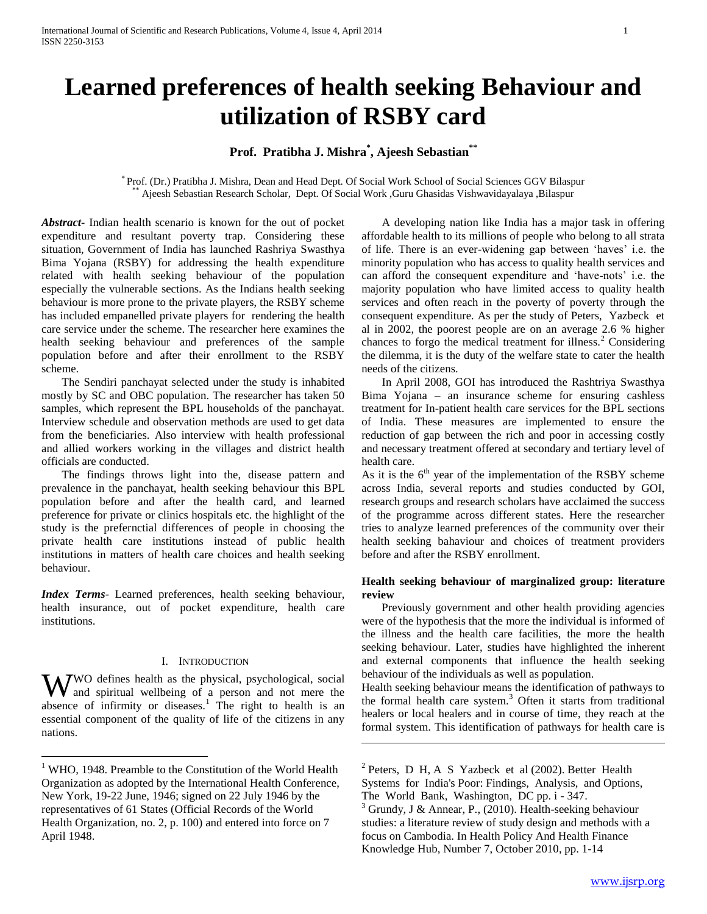# **Learned preferences of health seeking Behaviour and utilization of RSBY card**

# **Prof. Pratibha J. Mishra\* , Ajeesh Sebastian\*\***

\* Prof. (Dr.) Pratibha J. Mishra, Dean and Head Dept. Of Social Work School of Social Sciences GGV Bilaspur \*\* Ajeesh Sebastian Research Scholar, Dept. Of Social Work ,Guru Ghasidas Vishwavidayalaya ,Bilaspur

 $\overline{a}$ 

*Abstract***-** Indian health scenario is known for the out of pocket expenditure and resultant poverty trap. Considering these situation, Government of India has launched Rashriya Swasthya Bima Yojana (RSBY) for addressing the health expenditure related with health seeking behaviour of the population especially the vulnerable sections. As the Indians health seeking behaviour is more prone to the private players, the RSBY scheme has included empanelled private players for rendering the health care service under the scheme. The researcher here examines the health seeking behaviour and preferences of the sample population before and after their enrollment to the RSBY scheme.

 The Sendiri panchayat selected under the study is inhabited mostly by SC and OBC population. The researcher has taken 50 samples, which represent the BPL households of the panchayat. Interview schedule and observation methods are used to get data from the beneficiaries. Also interview with health professional and allied workers working in the villages and district health officials are conducted.

 The findings throws light into the, disease pattern and prevalence in the panchayat, health seeking behaviour this BPL population before and after the health card, and learned preference for private or clinics hospitals etc. the highlight of the study is the prefernctial differences of people in choosing the private health care institutions instead of public health institutions in matters of health care choices and health seeking behaviour.

*Index Terms*- Learned preferences, health seeking behaviour, health insurance, out of pocket expenditure, health care institutions.

# I. INTRODUCTION

WO defines health as the physical, psychological, social and spiritual wellbeing of a person and not mere the and spiritual wellbeing of a person and not mere the absence of infirmity or diseases.<sup>1</sup> The right to health is an essential component of the quality of life of the citizens in any nations.

 $\overline{a}$ 

 A developing nation like India has a major task in offering affordable health to its millions of people who belong to all strata of life. There is an ever-widening gap between 'haves' i.e. the minority population who has access to quality health services and can afford the consequent expenditure and 'have-nots' i.e. the majority population who have limited access to quality health services and often reach in the poverty of poverty through the consequent expenditure. As per the study of Peters, Yazbeck et al in 2002, the poorest people are on an average 2.6 % higher chances to forgo the medical treatment for illness.<sup>2</sup> Considering the dilemma, it is the duty of the welfare state to cater the health needs of the citizens.

 In April 2008, GOI has introduced the Rashtriya Swasthya Bima Yojana – an insurance scheme for ensuring cashless treatment for In-patient health care services for the BPL sections of India. These measures are implemented to ensure the reduction of gap between the rich and poor in accessing costly and necessary treatment offered at secondary and tertiary level of health care.

As it is the  $6<sup>th</sup>$  year of the implementation of the RSBY scheme across India, several reports and studies conducted by GOI, research groups and research scholars have acclaimed the success of the programme across different states. Here the researcher tries to analyze learned preferences of the community over their health seeking bahaviour and choices of treatment providers before and after the RSBY enrollment.

# **Health seeking behaviour of marginalized group: literature review**

 Previously government and other health providing agencies were of the hypothesis that the more the individual is informed of the illness and the health care facilities, the more the health seeking behaviour. Later, studies have highlighted the inherent and external components that influence the health seeking behaviour of the individuals as well as population.

Health seeking behaviour means the identification of pathways to the formal health care system.<sup>3</sup> Often it starts from traditional healers or local healers and in course of time, they reach at the formal system. This identification of pathways for health care is

<sup>&</sup>lt;sup>1</sup> WHO, 1948. Preamble to the Constitution of the World Health Organization as adopted by the International Health Conference, New York, 19-22 June, 1946; signed on 22 July 1946 by the representatives of 61 States (Official Records of the World Health Organization, no. 2, p. 100) and entered into force on 7 April 1948.

 $2^2$  Peters, D H, A S Yazbeck et al (2002). Better Health Systems for India's Poor: Findings, Analysis, and Options, The World Bank, Washington, DC pp. i - 347.

 $3$  Grundy, J & Annear, P., (2010). Health-seeking behaviour studies: a literature review of study design and methods with a focus on Cambodia. In Health Policy And Health Finance Knowledge Hub, Number 7, October 2010, pp. 1-14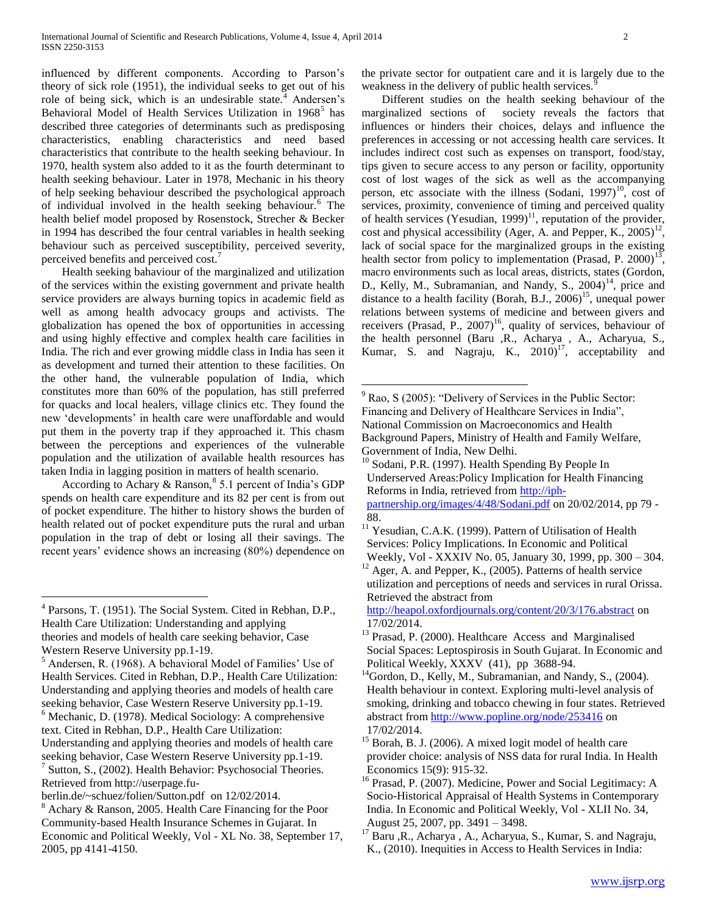influenced by different components. According to Parson's theory of sick role (1951), the individual seeks to get out of his role of being sick, which is an undesirable state.<sup>4</sup> Andersen's Behavioral Model of Health Services Utilization in 1968<sup>5</sup> has described three categories of determinants such as predisposing characteristics, enabling characteristics and need based characteristics that contribute to the health seeking behaviour. In 1970, health system also added to it as the fourth determinant to health seeking behaviour. Later in 1978, Mechanic in his theory of help seeking behaviour described the psychological approach of individual involved in the health seeking behaviour.<sup>6</sup> The health belief model proposed by Rosenstock, Strecher & Becker in 1994 has described the four central variables in health seeking behaviour such as perceived susceptibility, perceived severity, perceived benefits and perceived cost.<sup>7</sup>

 Health seeking bahaviour of the marginalized and utilization of the services within the existing government and private health service providers are always burning topics in academic field as well as among health advocacy groups and activists. The globalization has opened the box of opportunities in accessing and using highly effective and complex health care facilities in India. The rich and ever growing middle class in India has seen it as development and turned their attention to these facilities. On the other hand, the vulnerable population of India, which constitutes more than 60% of the population, has still preferred for quacks and local healers, village clinics etc. They found the new 'developments' in health care were unaffordable and would put them in the poverty trap if they approached it. This chasm between the perceptions and experiences of the vulnerable population and the utilization of available health resources has taken India in lagging position in matters of health scenario.

According to Achary & Ranson,  $85.1$  percent of India's GDP spends on health care expenditure and its 82 per cent is from out of pocket expenditure. The hither to history shows the burden of health related out of pocket expenditure puts the rural and urban population in the trap of debt or losing all their savings. The recent years' evidence shows an increasing (80%) dependence on

 $\overline{a}$ 

Retrieved from http://userpage.fu-

the private sector for outpatient care and it is largely due to the weakness in the delivery of public health services.<sup>9</sup>

 Different studies on the health seeking behaviour of the marginalized sections of society reveals the factors that influences or hinders their choices, delays and influence the preferences in accessing or not accessing health care services. It includes indirect cost such as expenses on transport, food/stay, tips given to secure access to any person or facility, opportunity cost of lost wages of the sick as well as the accompanying person, etc associate with the illness (Sodani, 1997)<sup>10</sup>, cost of services, proximity, convenience of timing and perceived quality of health services (Yesudian,  $1999$ )<sup>11</sup>, reputation of the provider, cost and physical accessibility (Ager, A. and Pepper, K.,  $2005$ )<sup>12</sup>, lack of social space for the marginalized groups in the existing health sector from policy to implementation (Prasad, P. 2000)<sup>13</sup>, macro environments such as local areas, districts, states (Gordon, D., Kelly, M., Subramanian, and Nandy, S.,  $2004$ <sup> $14$ </sup>, price and distance to a health facility (Borah, B.J.,  $2006$ )<sup>15</sup>, unequal power relations between systems of medicine and between givers and receivers (Prasad, P.,  $2007$ <sup>16</sup>, quality of services, behaviour of the health personnel (Baru ,R., Acharya , A., Acharyua, S., Kumar, S. and Nagraju, K.,  $2010$ <sup>17</sup>, acceptability and

 $\overline{a}$ 

<http://heapol.oxfordjournals.org/content/20/3/176.abstract> on 17/02/2014.

<sup>4</sup> Parsons, T. (1951). The Social System. Cited in Rebhan, D.P., Health Care Utilization: Understanding and applying theories and models of health care seeking behavior, Case Western Reserve University pp.1-19.

<sup>5</sup> Andersen, R. (1968). A behavioral Model of Families' Use of Health Services. Cited in Rebhan, D.P., Health Care Utilization: Understanding and applying theories and models of health care seeking behavior, Case Western Reserve University pp.1-19.  $<sup>6</sup>$  Mechanic, D. (1978). Medical Sociology: A comprehensive</sup> text. Cited in Rebhan, D.P., Health Care Utilization: Understanding and applying theories and models of health care seeking behavior, Case Western Reserve University pp.1-19. <sup>7</sup> Sutton, S., (2002). Health Behavior: Psychosocial Theories.

berlin.de/~schuez/folien/Sutton.pdf on 12/02/2014.

<sup>8</sup> Achary & Ranson, 2005. Health Care Financing for the Poor Community-based Health Insurance Schemes in Gujarat. In Economic and Political Weekly, Vol - XL No. 38, September 17, 2005, pp 4141-4150.

<sup>9</sup> Rao, S (2005): "Delivery of Services in the Public Sector: Financing and Delivery of Healthcare Services in India", National Commission on Macroeconomics and Health Background Papers, Ministry of Health and Family Welfare, Government of India, New Delhi.

 $10$  Sodani, P.R. (1997). Health Spending By People In Underserved Areas:Policy Implication for Health Financing Reforms in India, retrieved from [http://iph](http://iph-partnership.org/images/4/48/Sodani.pdf)[partnership.org/images/4/48/Sodani.pdf](http://iph-partnership.org/images/4/48/Sodani.pdf) on 20/02/2014, pp 79 -

<sup>88.</sup>

 $11$ <sup>11</sup> Yesudian, C.A.K. (1999). Pattern of Utilisation of Health Services: Policy Implications. In Economic and Political Weekly, Vol - XXXIV No. 05, January 30, 1999, pp. 300 – 304.

 $12$  Ager, A. and Pepper, K., (2005). Patterns of health service utilization and perceptions of needs and services in rural Orissa. Retrieved the abstract from

<sup>&</sup>lt;sup>13</sup> Prasad, P. (2000). Healthcare Access and Marginalised Social Spaces: Leptospirosis in South Gujarat. In Economic and Political Weekly, XXXV (41), pp 3688-94.

<sup>&</sup>lt;sup>14</sup>Gordon, D., Kelly, M., Subramanian, and Nandy, S., (2004). Health behaviour in context. Exploring multi-level analysis of smoking, drinking and tobacco chewing in four states. Retrieved abstract from<http://www.popline.org/node/253416> on 17/02/2014.

<sup>&</sup>lt;sup>15</sup> Borah, B. J. (2006). A mixed logit model of health care provider choice: analysis of NSS data for rural India. In Health Economics 15(9): 915-32.

<sup>&</sup>lt;sup>16</sup> Prasad, P. (2007). Medicine, Power and Social Legitimacy: A Socio-Historical Appraisal of Health Systems in Contemporary India. In Economic and Political Weekly, Vol - XLII No. 34, August 25, 2007, pp. 3491 – 3498.

<sup>&</sup>lt;sup>17</sup> Baru ,R., Acharya , A., Acharyua, S., Kumar, S. and Nagraju, K., (2010). Inequities in Access to Health Services in India: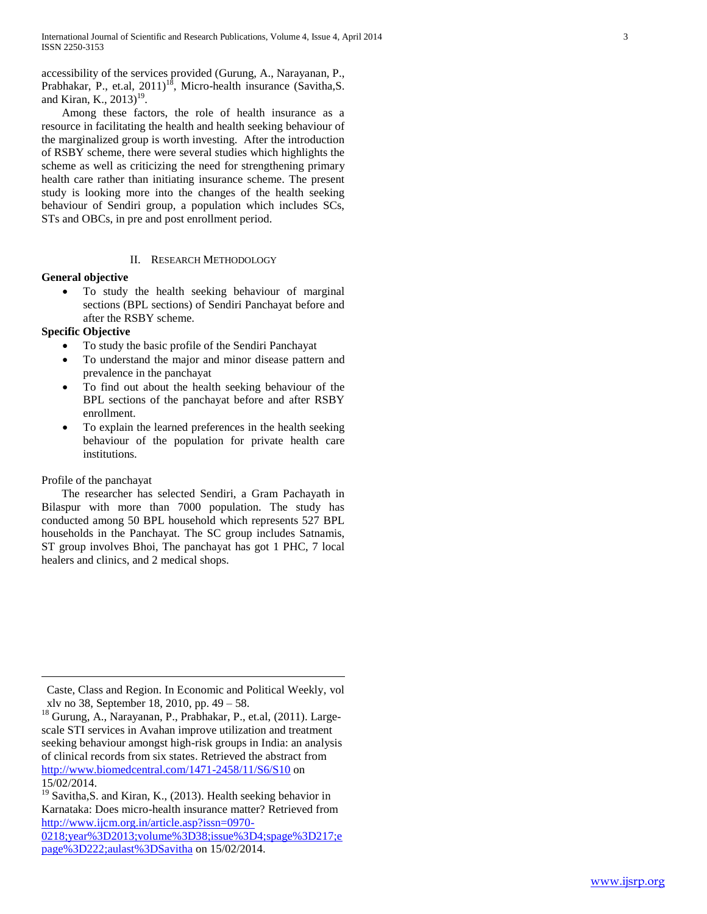accessibility of the services provided (Gurung, A., Narayanan, P., Prabhakar, P., et.al,  $2011$ <sup>18</sup>, Micro-health insurance (Savitha, S. and Kiran, K.,  $2013$ <sup>19</sup>.

 Among these factors, the role of health insurance as a resource in facilitating the health and health seeking behaviour of the marginalized group is worth investing. After the introduction of RSBY scheme, there were several studies which highlights the scheme as well as criticizing the need for strengthening primary health care rather than initiating insurance scheme. The present study is looking more into the changes of the health seeking behaviour of Sendiri group, a population which includes SCs, STs and OBCs, in pre and post enrollment period.

# II. RESEARCH METHODOLOGY

# **General objective**

 To study the health seeking behaviour of marginal sections (BPL sections) of Sendiri Panchayat before and after the RSBY scheme.

# **Specific Objective**

- To study the basic profile of the Sendiri Panchayat
- To understand the major and minor disease pattern and prevalence in the panchayat
- To find out about the health seeking behaviour of the BPL sections of the panchayat before and after RSBY enrollment.
- To explain the learned preferences in the health seeking behaviour of the population for private health care institutions.

# Profile of the panchayat

 $\overline{a}$ 

 The researcher has selected Sendiri, a Gram Pachayath in Bilaspur with more than 7000 population. The study has conducted among 50 BPL household which represents 527 BPL households in the Panchayat. The SC group includes Satnamis, ST group involves Bhoi, The panchayat has got 1 PHC, 7 local healers and clinics, and 2 medical shops.

Caste, Class and Region. In Economic and Political Weekly, vol xlv no 38, September 18, 2010, pp. 49 – 58.

<sup>&</sup>lt;sup>18</sup> Gurung, A., Narayanan, P., Prabhakar, P., et.al, (2011). Largescale STI services in Avahan improve utilization and treatment seeking behaviour amongst high-risk groups in India: an analysis of clinical records from six states. Retrieved the abstract from <http://www.biomedcentral.com/1471-2458/11/S6/S10> on 15/02/2014.

<sup>&</sup>lt;sup>19</sup> Savitha,S. and Kiran, K., (2013). Health seeking behavior in Karnataka: Does micro-health insurance matter? Retrieved from [http://www.ijcm.org.in/article.asp?issn=0970-](http://www.ijcm.org.in/article.asp?issn=0970-0218;year%3D2013;volume%3D38;issue%3D4;spage%3D217;epage%3D222;aulast%3DSavitha) [0218;year%3D2013;volume%3D38;issue%3D4;spage%3D217;e](http://www.ijcm.org.in/article.asp?issn=0970-0218;year%3D2013;volume%3D38;issue%3D4;spage%3D217;epage%3D222;aulast%3DSavitha) [page%3D222;aulast%3DSavitha](http://www.ijcm.org.in/article.asp?issn=0970-0218;year%3D2013;volume%3D38;issue%3D4;spage%3D217;epage%3D222;aulast%3DSavitha) on 15/02/2014.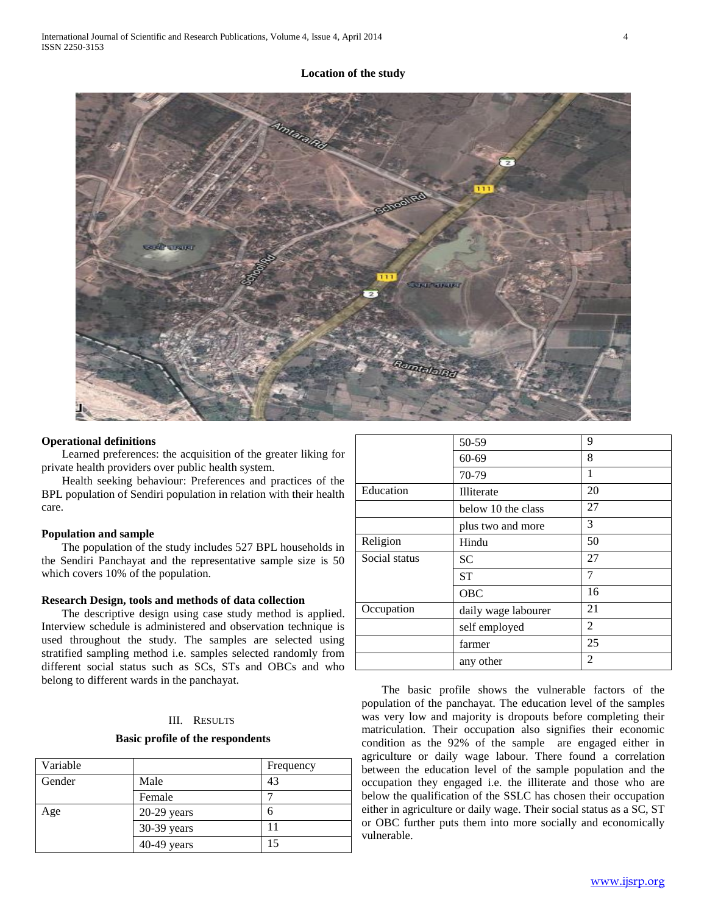

#### **Operational definitions**

 Learned preferences: the acquisition of the greater liking for private health providers over public health system.

 Health seeking behaviour: Preferences and practices of the BPL population of Sendiri population in relation with their health care.

#### **Population and sample**

 The population of the study includes 527 BPL households in the Sendiri Panchayat and the representative sample size is 50 which covers 10% of the population.

#### **Research Design, tools and methods of data collection**

 The descriptive design using case study method is applied. Interview schedule is administered and observation technique is used throughout the study. The samples are selected using stratified sampling method i.e. samples selected randomly from different social status such as SCs, STs and OBCs and who belong to different wards in the panchayat.

# III. RESULTS

## **Basic profile of the respondents**

| Variable |               | Frequency |
|----------|---------------|-----------|
| Gender   | Male          | 43        |
|          | Female        |           |
| Age      | $20-29$ years | 6         |
|          | 30-39 years   |           |
|          | $40-49$ years | 15        |

|               | 50-59               | 9              |
|---------------|---------------------|----------------|
|               | $60 - 69$           | 8              |
|               | 70-79               | 1              |
| Education     | Illiterate          | 20             |
|               | below 10 the class  | 27             |
|               | plus two and more   | 3              |
| Religion      | Hindu               | 50             |
| Social status | <b>SC</b>           | 27             |
|               | <b>ST</b>           | 7              |
|               | <b>OBC</b>          | 16             |
| Occupation    | daily wage labourer | 21             |
|               | self employed       | 2              |
|               | farmer              | 25             |
|               | any other           | $\overline{c}$ |

 The basic profile shows the vulnerable factors of the population of the panchayat. The education level of the samples was very low and majority is dropouts before completing their matriculation. Their occupation also signifies their economic condition as the 92% of the sample are engaged either in agriculture or daily wage labour. There found a correlation between the education level of the sample population and the occupation they engaged i.e. the illiterate and those who are below the qualification of the SSLC has chosen their occupation either in agriculture or daily wage. Their social status as a SC, ST or OBC further puts them into more socially and economically vulnerable.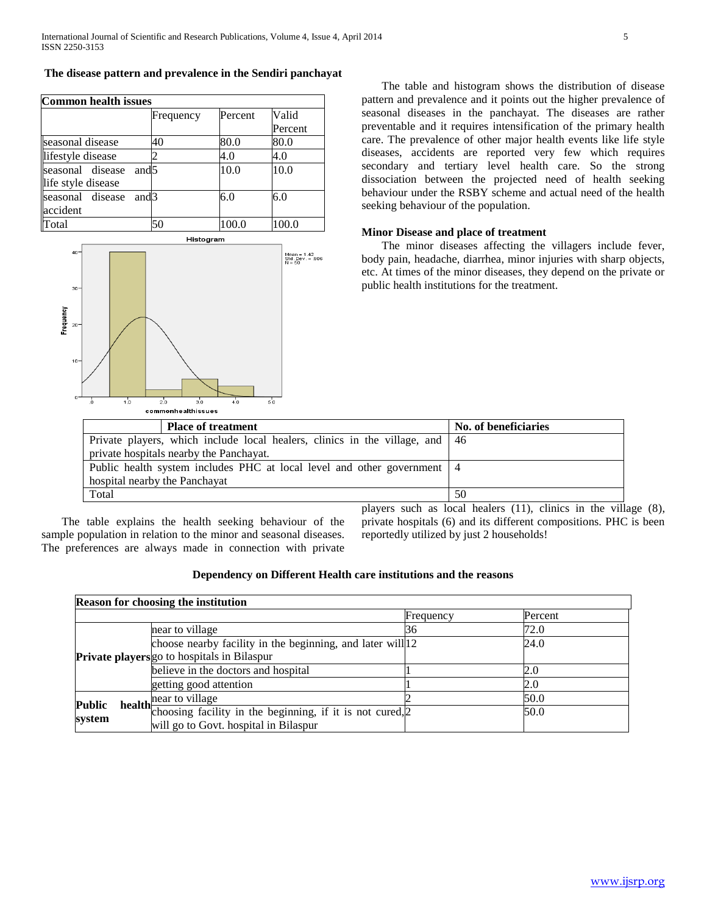# **The disease pattern and prevalence in the Sendiri panchayat**

| <b>Common health issues</b>                                |           |         |         |
|------------------------------------------------------------|-----------|---------|---------|
|                                                            | Frequency | Percent | Valid   |
|                                                            |           |         | Percent |
| seasonal disease                                           | 40        | 80.0    | 80.0    |
| lifestyle disease                                          |           | 4.0     | 4.0     |
| seasonal disease<br>and <sub>5</sub><br>life style disease |           | 10.0    | 10.0    |
| seasonal disease<br>and <sup>3</sup><br>accident           |           | 6.0     | 6.0     |
| Total                                                      | 50        | 100.0   | 100.0   |

Histogram



 The table and histogram shows the distribution of disease pattern and prevalence and it points out the higher prevalence of seasonal diseases in the panchayat. The diseases are rather preventable and it requires intensification of the primary health care. The prevalence of other major health events like life style diseases, accidents are reported very few which requires secondary and tertiary level health care. So the strong dissociation between the projected need of health seeking behaviour under the RSBY scheme and actual need of the health seeking behaviour of the population.

# **Minor Disease and place of treatment**

 The minor diseases affecting the villagers include fever, body pain, headache, diarrhea, minor injuries with sharp objects, etc. At times of the minor diseases, they depend on the private or public health institutions for the treatment.

| <b>Place of treatment</b>                                                    | No. of beneficiaries |
|------------------------------------------------------------------------------|----------------------|
| Private players, which include local healers, clinics in the village, and 46 |                      |
| private hospitals nearby the Panchayat.                                      |                      |
| Public health system includes PHC at local level and other government   4    |                      |
| hospital nearby the Panchayat                                                |                      |
| Total                                                                        | 50                   |

 The table explains the health seeking behaviour of the sample population in relation to the minor and seasonal diseases. The preferences are always made in connection with private players such as local healers (11), clinics in the village (8), private hospitals (6) and its different compositions. PHC is been reportedly utilized by just 2 households!

# **Dependency on Different Health care institutions and the reasons**

| <b>Reason for choosing the institution</b> |                                                                                                                                                              |           |         |
|--------------------------------------------|--------------------------------------------------------------------------------------------------------------------------------------------------------------|-----------|---------|
|                                            |                                                                                                                                                              | Frequency | Percent |
|                                            | near to village                                                                                                                                              | 36        | 72.0    |
|                                            | choose nearby facility in the beginning, and later will   12                                                                                                 |           | 24.0    |
|                                            | Private players go to hospitals in Bilaspur                                                                                                                  |           |         |
|                                            | believe in the doctors and hospital                                                                                                                          |           | 2.0     |
|                                            | getting good attention                                                                                                                                       |           | 2.0     |
| <b>Public</b><br>system                    | near to village                                                                                                                                              |           | 50.0    |
|                                            | <b>health</b> $\frac{\mu \text{tan} \omega \text{v} \cdot \text{tan} \omega}{\text{choosing facility in the beginning, if it is not cured.} \cdot \text{2}}$ |           | 50.0    |
|                                            | will go to Govt. hospital in Bilaspur                                                                                                                        |           |         |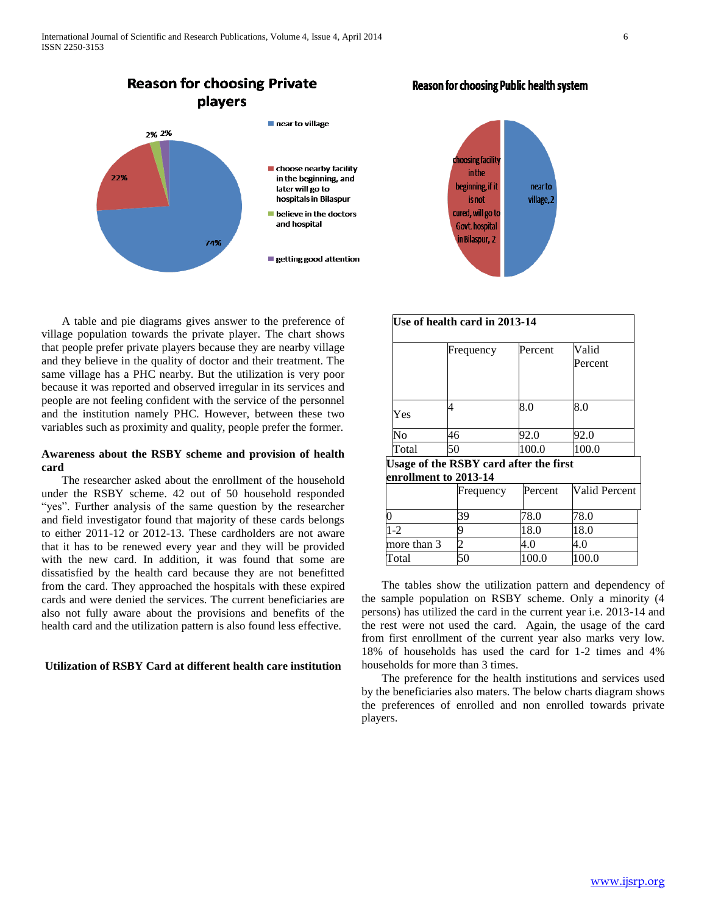

 A table and pie diagrams gives answer to the preference of village population towards the private player. The chart shows that people prefer private players because they are nearby village and they believe in the quality of doctor and their treatment. The same village has a PHC nearby. But the utilization is very poor because it was reported and observed irregular in its services and people are not feeling confident with the service of the personnel and the institution namely PHC. However, between these two variables such as proximity and quality, people prefer the former.

# **Awareness about the RSBY scheme and provision of health card**

 The researcher asked about the enrollment of the household under the RSBY scheme. 42 out of 50 household responded "yes". Further analysis of the same question by the researcher and field investigator found that majority of these cards belongs to either 2011-12 or 2012-13. These cardholders are not aware that it has to be renewed every year and they will be provided with the new card. In addition, it was found that some are dissatisfied by the health card because they are not benefitted from the card. They approached the hospitals with these expired cards and were denied the services. The current beneficiaries are also not fully aware about the provisions and benefits of the health card and the utilization pattern is also found less effective.

### **Utilization of RSBY Card at different health care institution**



|       | Frequency | Percent | Valid<br>Percent |
|-------|-----------|---------|------------------|
| Yes   |           | 8.0     | 8.0              |
| Nο    | 46        | 92.0    | 92.0             |
| Total | 50        | 100.0   | 100.0            |

|             | Frequency | Percent | Valid Percent |
|-------------|-----------|---------|---------------|
|             | 39        | 78.0    | 78.0          |
| $1 - 2$     |           | 18.0    | 18.0          |
| more than 3 |           |         |               |
| Total       |           | 00.0    | 100.0         |

 The tables show the utilization pattern and dependency of the sample population on RSBY scheme. Only a minority (4 persons) has utilized the card in the current year i.e. 2013-14 and the rest were not used the card. Again, the usage of the card from first enrollment of the current year also marks very low. 18% of households has used the card for 1-2 times and 4% households for more than 3 times.

 The preference for the health institutions and services used by the beneficiaries also maters. The below charts diagram shows the preferences of enrolled and non enrolled towards private players.

# **Reason for choosing Public health system**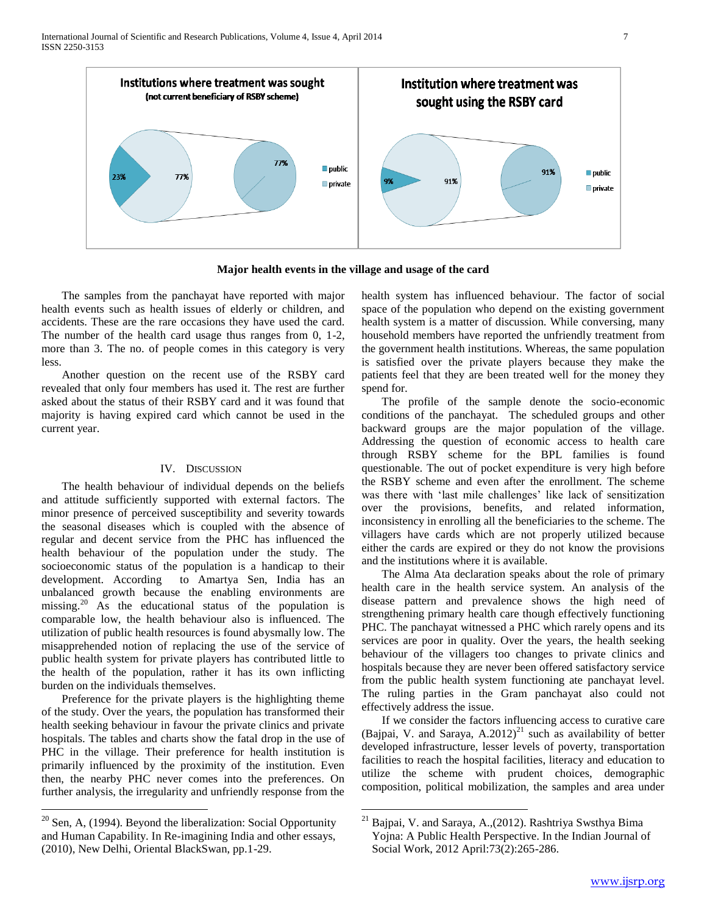International Journal of Scientific and Research Publications, Volume 4, Issue 4, April 2014 7 ISSN 2250-3153



**Major health events in the village and usage of the card**

 $\overline{a}$ 

 The samples from the panchayat have reported with major health events such as health issues of elderly or children, and accidents. These are the rare occasions they have used the card. The number of the health card usage thus ranges from 0, 1-2, more than 3. The no. of people comes in this category is very less.

 Another question on the recent use of the RSBY card revealed that only four members has used it. The rest are further asked about the status of their RSBY card and it was found that majority is having expired card which cannot be used in the current year.

## IV. DISCUSSION

 The health behaviour of individual depends on the beliefs and attitude sufficiently supported with external factors. The minor presence of perceived susceptibility and severity towards the seasonal diseases which is coupled with the absence of regular and decent service from the PHC has influenced the health behaviour of the population under the study. The socioeconomic status of the population is a handicap to their development. According to Amartya Sen, India has an unbalanced growth because the enabling environments are missing.<sup>20</sup> As the educational status of the population is comparable low, the health behaviour also is influenced. The utilization of public health resources is found abysmally low. The misapprehended notion of replacing the use of the service of public health system for private players has contributed little to the health of the population, rather it has its own inflicting burden on the individuals themselves.

 Preference for the private players is the highlighting theme of the study. Over the years, the population has transformed their health seeking behaviour in favour the private clinics and private hospitals. The tables and charts show the fatal drop in the use of PHC in the village. Their preference for health institution is primarily influenced by the proximity of the institution. Even then, the nearby PHC never comes into the preferences. On further analysis, the irregularity and unfriendly response from the

 $20$  Sen, A, (1994). Beyond the liberalization: Social Opportunity and Human Capability. In Re-imagining India and other essays, (2010), New Delhi, Oriental BlackSwan, pp.1-29.

 $\overline{a}$ 

health system has influenced behaviour. The factor of social space of the population who depend on the existing government health system is a matter of discussion. While conversing, many household members have reported the unfriendly treatment from the government health institutions. Whereas, the same population is satisfied over the private players because they make the patients feel that they are been treated well for the money they spend for.

 The profile of the sample denote the socio-economic conditions of the panchayat. The scheduled groups and other backward groups are the major population of the village. Addressing the question of economic access to health care through RSBY scheme for the BPL families is found questionable. The out of pocket expenditure is very high before the RSBY scheme and even after the enrollment. The scheme was there with 'last mile challenges' like lack of sensitization over the provisions, benefits, and related information, inconsistency in enrolling all the beneficiaries to the scheme. The villagers have cards which are not properly utilized because either the cards are expired or they do not know the provisions and the institutions where it is available.

 The Alma Ata declaration speaks about the role of primary health care in the health service system. An analysis of the disease pattern and prevalence shows the high need of strengthening primary health care though effectively functioning PHC. The panchayat witnessed a PHC which rarely opens and its services are poor in quality. Over the years, the health seeking behaviour of the villagers too changes to private clinics and hospitals because they are never been offered satisfactory service from the public health system functioning ate panchayat level. The ruling parties in the Gram panchayat also could not effectively address the issue.

 If we consider the factors influencing access to curative care (Bajpai, V. and Saraya,  $A.2012$ )<sup>21</sup> such as availability of better developed infrastructure, lesser levels of poverty, transportation facilities to reach the hospital facilities, literacy and education to utilize the scheme with prudent choices, demographic composition, political mobilization, the samples and area under

<sup>21</sup> Bajpai, V. and Saraya, A.,(2012). Rashtriya Swsthya Bima Yojna: A Public Health Perspective. In the Indian Journal of Social Work, 2012 April:73(2):265-286.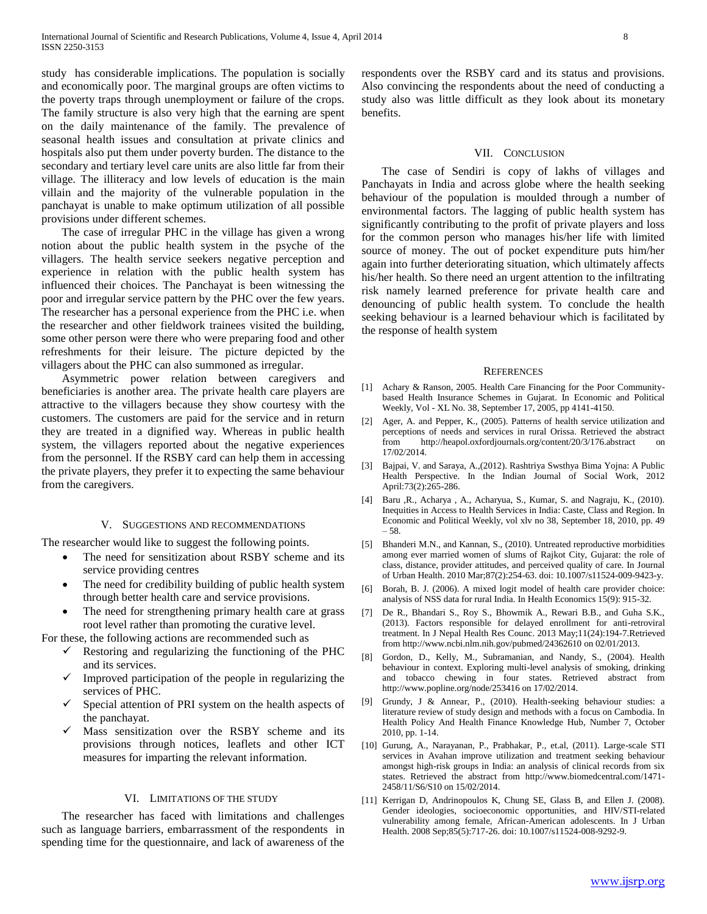study has considerable implications. The population is socially and economically poor. The marginal groups are often victims to the poverty traps through unemployment or failure of the crops. The family structure is also very high that the earning are spent on the daily maintenance of the family. The prevalence of seasonal health issues and consultation at private clinics and hospitals also put them under poverty burden. The distance to the secondary and tertiary level care units are also little far from their village. The illiteracy and low levels of education is the main villain and the majority of the vulnerable population in the panchayat is unable to make optimum utilization of all possible provisions under different schemes.

 The case of irregular PHC in the village has given a wrong notion about the public health system in the psyche of the villagers. The health service seekers negative perception and experience in relation with the public health system has influenced their choices. The Panchayat is been witnessing the poor and irregular service pattern by the PHC over the few years. The researcher has a personal experience from the PHC i.e. when the researcher and other fieldwork trainees visited the building, some other person were there who were preparing food and other refreshments for their leisure. The picture depicted by the villagers about the PHC can also summoned as irregular.

 Asymmetric power relation between caregivers and beneficiaries is another area. The private health care players are attractive to the villagers because they show courtesy with the customers. The customers are paid for the service and in return they are treated in a dignified way. Whereas in public health system, the villagers reported about the negative experiences from the personnel. If the RSBY card can help them in accessing the private players, they prefer it to expecting the same behaviour from the caregivers.

## V. SUGGESTIONS AND RECOMMENDATIONS

The researcher would like to suggest the following points.

- The need for sensitization about RSBY scheme and its service providing centres
- The need for credibility building of public health system through better health care and service provisions.
- The need for strengthening primary health care at grass root level rather than promoting the curative level.

For these, the following actions are recommended such as

- Restoring and regularizing the functioning of the PHC and its services.
- Improved participation of the people in regularizing the services of PHC.
- Special attention of PRI system on the health aspects of the panchayat.
- Mass sensitization over the RSBY scheme and its provisions through notices, leaflets and other ICT measures for imparting the relevant information.

# VI. LIMITATIONS OF THE STUDY

 The researcher has faced with limitations and challenges such as language barriers, embarrassment of the respondents in spending time for the questionnaire, and lack of awareness of the respondents over the RSBY card and its status and provisions. Also convincing the respondents about the need of conducting a study also was little difficult as they look about its monetary benefits.

#### VII. CONCLUSION

 The case of Sendiri is copy of lakhs of villages and Panchayats in India and across globe where the health seeking behaviour of the population is moulded through a number of environmental factors. The lagging of public health system has significantly contributing to the profit of private players and loss for the common person who manages his/her life with limited source of money. The out of pocket expenditure puts him/her again into further deteriorating situation, which ultimately affects his/her health. So there need an urgent attention to the infiltrating risk namely learned preference for private health care and denouncing of public health system. To conclude the health seeking behaviour is a learned behaviour which is facilitated by the response of health system

#### **REFERENCES**

- [1] Achary & Ranson, 2005. Health Care Financing for the Poor Communitybased Health Insurance Schemes in Gujarat. In Economic and Political Weekly, Vol - XL No. 38, September 17, 2005, pp 4141-4150.
- [2] Ager, A. and Pepper, K., (2005). Patterns of health service utilization and perceptions of needs and services in rural Orissa. Retrieved the abstract from http://heapol.oxfordjournals.org/content/20/3/176.abstract on 17/02/2014.
- [3] Bajpai, V. and Saraya, A.,(2012). Rashtriya Swsthya Bima Yojna: A Public Health Perspective. In the Indian Journal of Social Work, 2012 April:73(2):265-286.
- [4] Baru ,R., Acharya , A., Acharyua, S., Kumar, S. and Nagraju, K., (2010). Inequities in Access to Health Services in India: Caste, Class and Region. In Economic and Political Weekly, vol xlv no 38, September 18, 2010, pp. 49 – 58.
- [5] Bhanderi M.N., and Kannan, S., (2010). Untreated reproductive morbidities among ever married women of slums of Rajkot City, Gujarat: the role of class, distance, provider attitudes, and perceived quality of care. In Journal of Urban Health. 2010 Mar;87(2):254-63. doi: 10.1007/s11524-009-9423-y.
- [6] Borah, B. J. (2006). A mixed logit model of health care provider choice: analysis of NSS data for rural India. In Health Economics 15(9): 915-32.
- [7] De R., Bhandari S., Roy S., Bhowmik A., Rewari B.B., and Guha S.K., (2013). Factors responsible for delayed enrollment for anti-retroviral treatment. In J Nepal Health Res Counc. 2013 May;11(24):194-7.Retrieved from http://www.ncbi.nlm.nih.gov/pubmed/24362610 on 02/01/2013.
- [8] Gordon, D., Kelly, M., Subramanian, and Nandy, S., (2004). Health behaviour in context. Exploring multi-level analysis of smoking, drinking and tobacco chewing in four states. Retrieved abstract from http://www.popline.org/node/253416 on 17/02/2014.
- [9] Grundy, J & Annear, P., (2010). Health-seeking behaviour studies: a literature review of study design and methods with a focus on Cambodia. In Health Policy And Health Finance Knowledge Hub, Number 7, October 2010, pp. 1-14.
- [10] Gurung, A., Narayanan, P., Prabhakar, P., et.al, (2011). Large-scale STI services in Avahan improve utilization and treatment seeking behaviour amongst high-risk groups in India: an analysis of clinical records from six states. Retrieved the abstract from http://www.biomedcentral.com/1471- 2458/11/S6/S10 on 15/02/2014.
- [11] Kerrigan D, Andrinopoulos K, Chung SE, Glass B, and Ellen J. (2008). Gender ideologies, socioeconomic opportunities, and HIV/STI-related vulnerability among female, African-American adolescents. In J Urban Health. 2008 Sep;85(5):717-26. doi: 10.1007/s11524-008-9292-9.